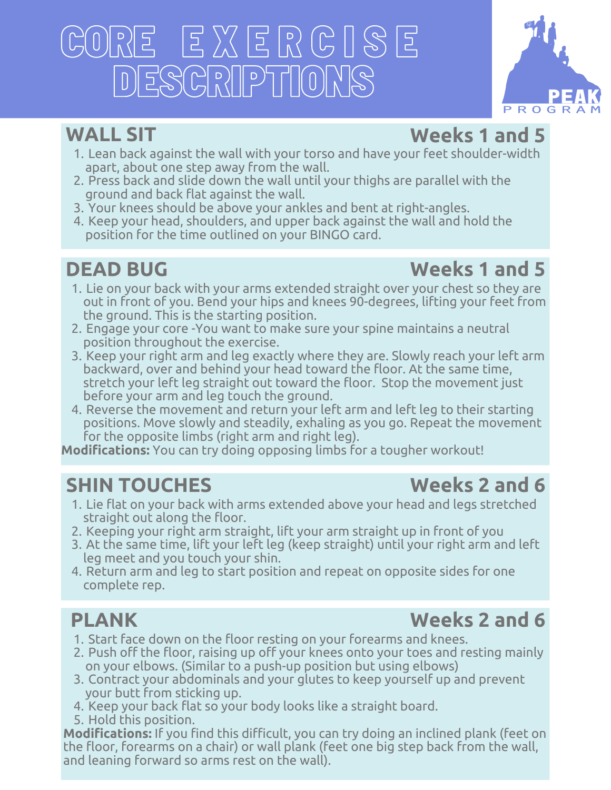# CORE E X E R C I S E DESCRIPTIONS



### **WALL SIT**

### **Weeks 1 and 5**

- 1. Lean back against the wall with your torso and have your feet shoulder-width apart, about one step away from the wall.
- Press back and slide down the wall until your thighs are parallel with the 2. ground and back flat against the wall.
- Your knees should be above your ankles and bent at right-angles. 3.
- 4. Keep your head, shoulders, and upper back against the wall and hold the position for the time outlined on your BINGO card.

### **DEAD BUG**

### **Weeks 1 and 5**

- 1. Lie on your back with your arms extended straight over your chest so they are out in front of you. Bend your hips and knees 90-degrees, lifting your feet from the ground. This is the starting position.
- Engage your core -You want to make sure your spine maintains a neutral 2. position throughout the exercise.
- 3. Keep your right arm and leg exactly where they are. Slowly reach your left arm backward, over and behind your head toward the floor. At the same time, stretch your left leg straight out toward the floor. Stop the movement just before your arm and leg touch the ground.
- 4. Reverse the movement and return your left arm and left leg to their starting positions. Move slowly and steadily, exhaling as you go. Repeat the movement for the opposite limbs (right arm and right leg).

**Modifications:** You can try doing opposing limbs for a tougher workout!

### **SHIN TOUCHES**

- 1. Lie flat on your back with arms extended above your head and legs stretched straight out along the floor.
- 2. Keeping your right arm straight, lift your arm straight up in front of you
- At the same time, lift your left leg (keep straight) until your right arm and left 3. leg meet and you touch your shin.
- 4. Return arm and leg to start position and repeat on opposite sides for one complete rep.

### **PLANK**

### **Weeks 2 and 6**

- 1. Start face down on the floor resting on your forearms and knees.
- 2. Push off the floor, raising up off your knees onto your toes and resting mainly on your elbows. (Similar to a push-up position but using elbows)
- Contract your abdominals and your glutes to keep yourself up and prevent 3. your butt from sticking up.
- 4. Keep your back flat so your body looks like a straight board.
- 5. Hold this position.

**Modifications:** If you find this difficult, you can try doing an inclined plank (feet on the floor, forearms on a chair) or wall plank (feet one big step back from the wall, and leaning forward so arms rest on the wall).

### **Weeks 2 and 6**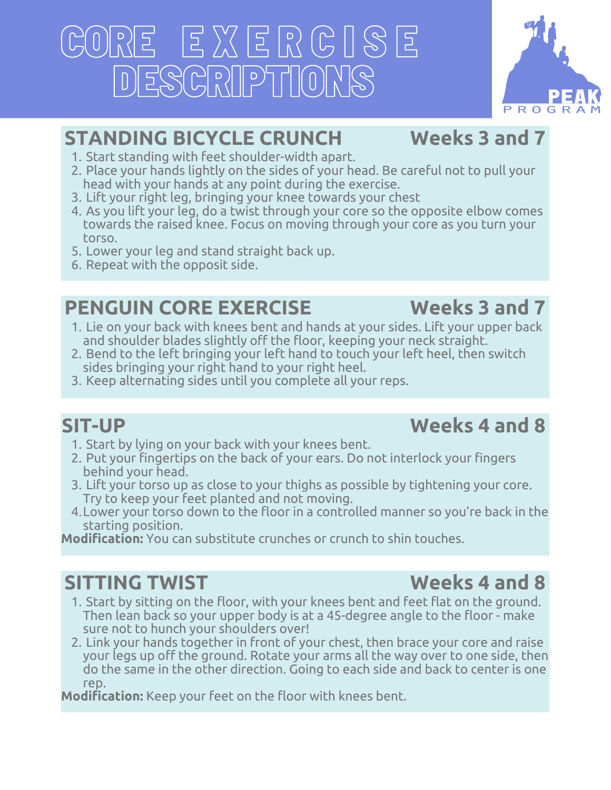# CORE E X E R C I S E DESCRIPTIONS



### **STANDING BICYCLE CRUNCH**

- **Weeks 3 and 7**
- 1. Start standing with feet shoulder-width apart.
- 2. Place your hands lightly on the sides of your head. Be careful not to pull your head with your hands at any point during the exercise.
- 3. Lift your right leg, bringing your knee towards your chest
- As you lift your leg, do a twist through your core so the opposite elbow comes 4. towards the raised knee. Focus on moving through your core as you turn your torso.
- Lower your leg and stand straight back up. 5.
- 6. Repeat with the opposit side.

### **PENGUIN CORE EXERCISE**

### **Weeks 3 and 7**

- 1. Lie on your back with knees bent and hands at your sides. Lift your upper back and shoulder blades slightly off the floor, keeping your neck straight.
- 2. Bend to the left bringing your left hand to touch your left heel, then switch sides bringing your right hand to your right heel.
- 3. Keep alternating sides until you complete all your reps.

### **SIT-UP**

### **Weeks 4 and 8**

- 1. Start by lying on your back with your knees bent.
- 2. Put your fingertips on the back of your ears. Do not interlock your fingers behind your head.
- 3. Lift your torso up as close to your thighs as possible by tightening your core. Try to keep your feet planted and not moving.
- Lower your torso down to the floor in a controlled manner so you're back in the 4. starting position.

**Modification:** You can substitute crunches or crunch to shin touches.

### **SITTING TWIST**

- 1. Start by sitting on the floor, with your knees bent and feet flat on the ground. Then lean back so your upper body is at a 45-degree angle to the floor - make sure not to hunch your shoulders over!
- 2. Link your hands together in front of your chest, then brace your core and raise your legs up off the ground. Rotate your arms all the way over to one side, then do the same in the other direction. Going to each side and back to center is one rep.

**Modification:** Keep your feet on the floor with knees bent.

### **Weeks 4 and 8**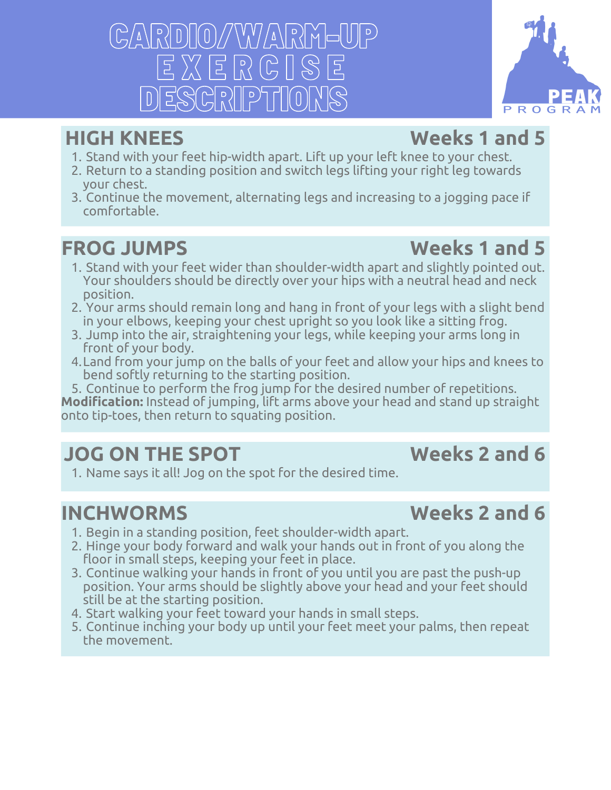$\left[\frac{1}{2}\right]\left[\frac{1}{2}\right]\left[\frac{1}{2}\right]\left[\frac{1}{2}\right]\left[\frac{1}{2}\right]\left[\frac{1}{2}\right]\left[\frac{1}{2}\right]$  $E X E R$ ESCRIPTI

### **HIGH KNEES**

### **Weeks 1 and 5**

- 1. Stand with your feet hip-width apart. Lift up your left knee to your chest.
- 2. Return to a standing position and switch legs lifting your right leg towards your chest.
- 3. Continue the movement, alternating legs and increasing to a jogging pace if comfortable.

### **FROG JUMPS**

### **Weeks 1 and 5**

- 1. Stand with your feet wider than shoulder-width apart and slightly pointed out. Your shoulders should be directly over your hips with a neutral head and neck position.
- Your arms should remain long and hang in front of your legs with a slight bend 2. in your elbows, keeping your chest upright so you look like a sitting frog.
- Jump into the air, straightening your legs, while keeping your arms long in 3. front of your body.
- Land from your jump on the balls of your feet and allow your hips and knees to 4. bend softly returning to the starting position.
- 5. Continue to perform the frog jump for the desired number of repetitions.

**Modification:** Instead of jumping, lift arms above your head and stand up straight onto tip-toes, then return to squating position.

### **JOG ON THE SPOT**

### **Weeks 2 and 6**

1. Name says it all! Jog on the spot for the desired time.

### **INCHWORMS**

### **Weeks 2 and 6**

- 1. Begin in a standing position, feet shoulder-width apart.
- 2. Hinge your body forward and walk your hands out in front of you along the floor in small steps, keeping your feet in place.
- Continue walking your hands in front of you until you are past the push-up 3. position. Your arms should be slightly above your head and your feet should still be at the starting position.
- 4. Start walking your feet toward your hands in small steps.
- 5. Continue inching your body up until your feet meet your palms, then repeat the movement.

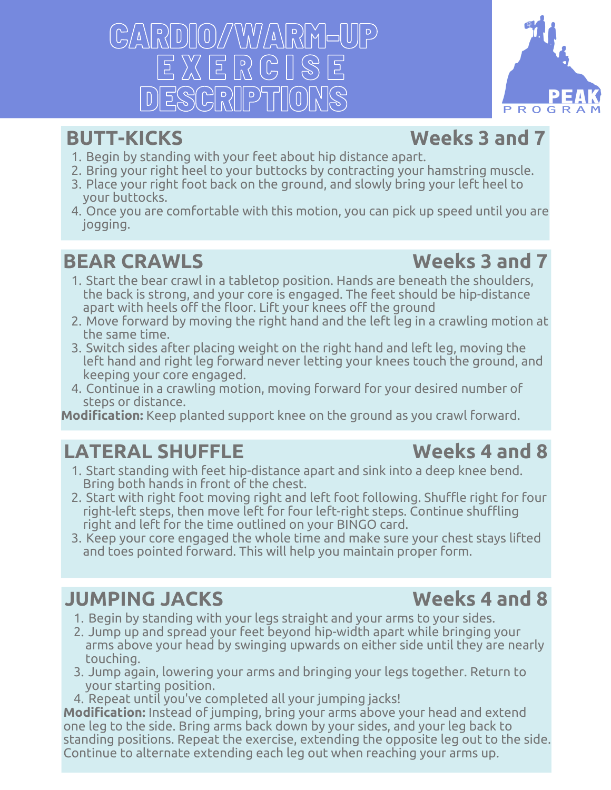CARDIO/WARM-UP E X E R C I S E DESCRIPTION

### **BUTT-KICKS**

### **Weeks 3 and 7**

- 1. Begin by standing with your feet about hip distance apart.
- 2. Bring your right heel to your buttocks by contracting your hamstring muscle.
- Place your right foot back on the ground, and slowly bring your left heel to 3. your buttocks.
- Once you are comfortable with this motion, you can pick up speed until you are 4. jogging.

### **BEAR CRAWLS**

### **Weeks 3 and 7**

- 1. Start the bear crawl in a tabletop position. Hands are beneath the shoulders, the back is strong, and your core is engaged. The feet should be hip-distance apart with heels off the floor. Lift your knees off the ground
- Move forward by moving the right hand and the left leg in a crawling motion at 2. the same time.
- 3. Switch sides after placing weight on the right hand and left leg, moving the left hand and right leg forward never letting your knees touch the ground, and keeping your core engaged.
- 4. Continue in a crawling motion, moving forward for your desired number of steps or distance.

**Modification:** Keep planted support knee on the ground as you crawl forward.

### **LATERAL SHUFFLE**

- 1. Start standing with feet hip-distance apart and sink into a deep knee bend. Bring both hands in front of the chest.
- 2. Start with right foot moving right and left foot following. Shuffle right for four right-left steps, then move left for four left-right steps. Continue shuffling right and left for the time outlined on your BINGO card.
- 3. Keep your core engaged the whole time and make sure your chest stays lifted and toes pointed forward. This will help you maintain proper form.

### **JUMPING JACKS**

- 1. Begin by standing with your legs straight and your arms to your sides.
- Jump up and spread your feet beyond hip-width apart while bringing your 2. arms above your head by swinging upwards on either side until they are nearly touching.
- Jump again, lowering your arms and bringing your legs together. Return to 3. your starting position.
- 4. Repeat until you've completed all your jumping jacks!

**Modification:** Instead of jumping, bring your arms above your head and extend one leg to the side. Bring arms back down by your sides, and your leg back to standing positions. Repeat the exercise, extending the opposite leg out to the side. Continue to alternate extending each leg out when reaching your arms up.

### **Weeks 4 and 8**

**Weeks 4 and 8**

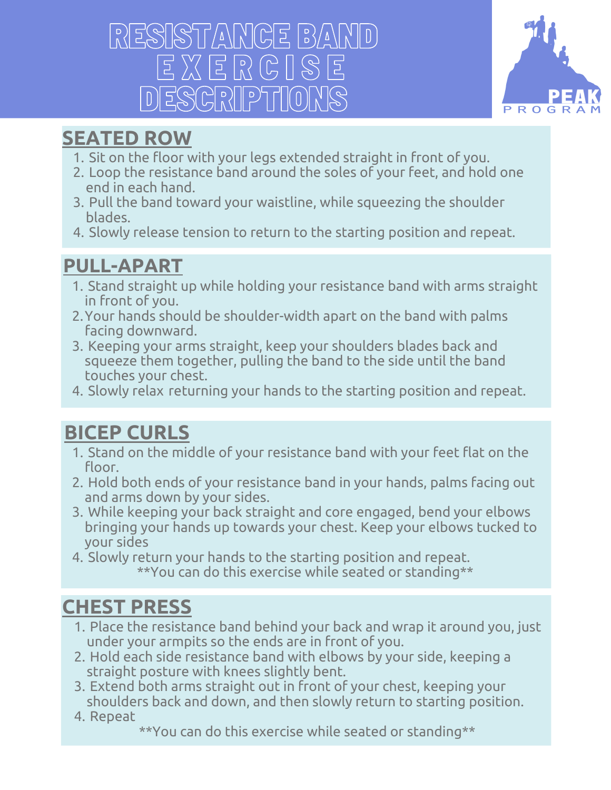# RESISTANCE BA E X E R C I S E ESCRIPTION



### **[SEATED](https://youtu.be/joqOm-oIULo) ROW**

- 1. Sit on the floor with your legs extended straight in front of you.
- Loop the resistance band around the soles of your feet, and hold one 2. end in each hand.
- Pull the band toward your waistline, while squeezing the shoulder 3. blades.
- 4. Slowly release tension to return to the starting position and repeat.

### **[PULL-APART](https://youtu.be/CDhiWuDcbzA)**

- Stand straight up while holding your resistance band with arms straight 1. in front of you.
- Your hands should be shoulder-width apart on the band with palms 2. facing downward.
- 3. Keeping your arms straight, keep your shoulders blades back and squeeze them together, pulling the band to the side until the band touches your chest.
- 4. Slowly relax returning your hands to the starting position and repeat.

### **BICEP [CURLS](https://youtu.be/GjJDz44i3RE)**

- 1. Stand on the middle of your resistance band with your feet flat on the floor.
- 2. Hold both ends of your resistance band in your hands, palms facing out and arms down by your sides.
- While keeping your back straight and core engaged, bend your elbows 3. bringing your hands up towards your chest. Keep your elbows tucked to your sides
- 4. Slowly return your hands to the starting position and repeat. \*\*You can do this exercise while seated or standing\*\*

### **[CHEST](https://youtu.be/u0Fze-O83SY) PRESS**

- Place the resistance band behind your back and wrap it around you, just 1. under your armpits so the ends are in front of you.
- 2. Hold each side resistance band with elbows by your side, keeping a straight posture with knees slightly bent.
- Extend both arms straight out in front of your chest, keeping your 3. shoulders back and down, and then slowly return to starting position.
- 4. Repeat
	- \*\*You can do this exercise while seated or standing\*\*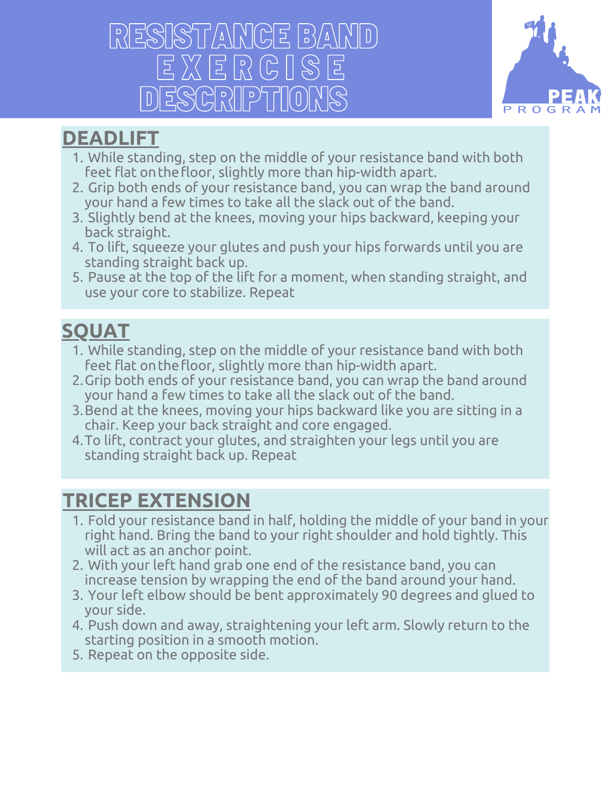# RTANCE BAN E X E R C I S E ESGRIPTION



### **[DEADLIFT](https://youtu.be/DiGmh_27k8U)**

- While standing, step on the middle of your resistance band with both 1. feet flat onthefloor, slightly more than hip-width apart.
- 2. Grip both ends of your resistance band, you can wrap the band around your hand a few times to take all the slack out of the band.
- Slightly bend at the knees, moving your hips backward, keeping your 3. back straight.
- To lift, squeeze your glutes and push your hips forwards until you are 4. standing straight back up.
- Pause at the top of the lift for a moment, when standing straight, and 5. use your core to stabilize. Repeat

### **[SQUAT](https://youtu.be/MGVKWcRrg7Y)**

- While standing, step on the middle of your resistance band with both 1. feet flat onthefloor, slightly more than hip-width apart.
- 2. Grip both ends of your resistance band, you can wrap the band around your hand a few times to take all the slack out of the band.
- Bend at the knees, moving your hips backward like you are sitting in a 3. chair. Keep your back straight and core engaged.
- 4. To lift, contract your glutes, and straighten your legs until you are standing straight back up. Repeat

### **TRICEP [EXTENSION](https://youtu.be/uUrPxdaVV2w)**

- Fold your resistance band in half, holding the middle of your band in your 1. right hand. Bring the band to your right shoulder and hold tightly. This will act as an anchor point.
- With your left hand grab one end of the resistance band, you can 2. increase tension by wrapping the end of the band around your hand.
- Your left elbow should be bent approximately 90 degrees and glued to 3. your side.
- Push down and away, straightening your left arm. Slowly return to the 4. starting position in a smooth motion.
- 5. Repeat on the opposite side.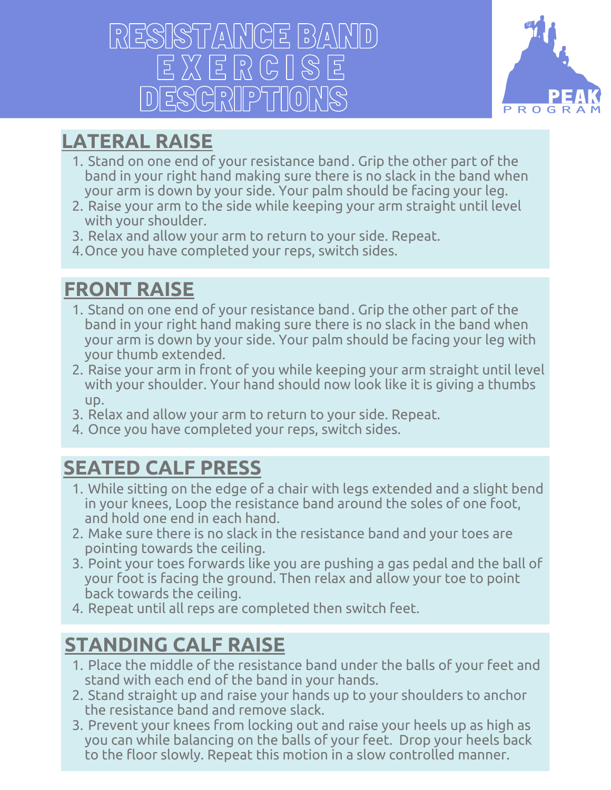# RESISTANCE BAND E X E R C I S E DESCRIPTIONS



### **[LATERAL](https://youtu.be/fyOxDJXDGdo) RAISE**

- 1. Stand on one end of your resistance band. Grip the other part of the band in your right hand making sure there is no slack in the band when your arm is down by your side. Your palm should be facing your leg.
- Raise your arm to the side while keeping your arm straight until level 2. with your shoulder.
- 3. Relax and allow your arm to return to your side. Repeat.
- Once you have completed your reps, switch sides. 4.

### **[FRONT](https://youtu.be/ejPkWIYAIPY) RAISE**

- 1. Stand on one end of your resistance band. Grip the other part of the band in your right hand making sure there is no slack in the band when your arm is down by your side. Your palm should be facing your leg with your thumb extended.
- Raise your arm in front of you while keeping your arm straight until level 2. with your shoulder. Your hand should now look like it is giving a thumbs up.
- 3. Relax and allow your arm to return to your side. Repeat.
- Once you have completed your reps, switch sides. 4.

### **[SEATED](https://youtu.be/j8iuSaLFuTc) CALF PRESS**

- While sitting on the edge of a chair with legs extended and a slight bend 1. in your knees, Loop the resistance band around the soles of one foot, and hold one end in each hand.
- Make sure there is no slack in the resistance band and your toes are 2. pointing towards the ceiling.
- Point your toes forwards like you are pushing a gas pedal and the ball of 3. your foot is facing the ground. Then relax and allow your toe to point back towards the ceiling.
- 4. Repeat until all reps are completed then switch feet.

### **[STANDING](https://youtu.be/Q9AfCP2leCA) CALF RAISE**

- Place the middle of the resistance band under the balls of your feet and 1. stand with each end of the band in your hands.
- 2. Stand straight up and raise your hands up to your shoulders to anchor the resistance band and remove slack.
- 3. Prevent your knees from locking out and raise your heels up as high as you can while balancing on the balls of your feet. Drop your heels back to the floor slowly. Repeat this motion in a slow controlled manner.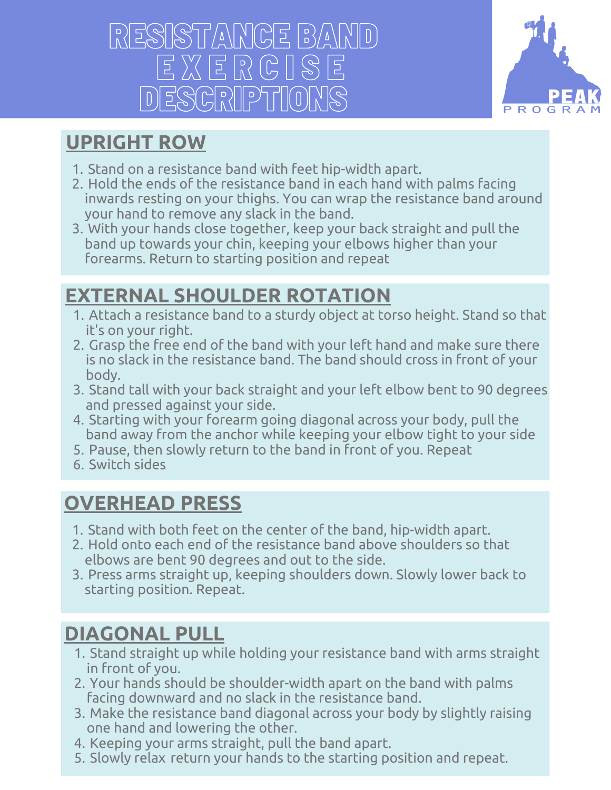# RESISTANCE BAND E X E R C I S E DESCRIPTIONS



### **[UPRIGHT](https://youtu.be/yxstN9c1hY0) ROW**

- 1. Stand on a resistance band with feet hip-width apart.
- 2. Hold the ends of the resistance band in each hand with palms facing inwards resting on your thighs. You can wrap the resistance band around your hand to remove any slack in the band.
- With your hands close together, keep your back straight and pull the 3. band up towards your chin, keeping your elbows higher than your forearms. Return to starting position and repeat

### **EXTERNAL [SHOULDER](https://youtu.be/JTCo5XK-u_I) ROTATION**

- Attach a resistance band to a sturdy object at torso height. Stand so that 1. it's on your right.
- Grasp the free end of the band with your left hand and make sure there 2. is no slack in the resistance band. The band should cross in front of your body.
- Stand tall with your back straight and your left elbow bent to 90 degrees 3. and pressed against your side.
- Starting with your forearm going diagonal across your body, pull the 4. band away from the anchor while keeping your elbow tight to your side
- Pause, then slowly return to the band in front of you. Repeat 5.
- 6. Switch sides

### **[OVERHEAD](https://youtu.be/Y0ICp_BgQFU) PRESS**

- 1. Stand with both feet on the center of the band, hip-width apart.
- Hold onto each end of the resistance band above shoulders so that 2. elbows are bent 90 degrees and out to the side.
- Press arms straight up, keeping shoulders down. Slowly lower back to 3. starting position. Repeat.

### **[DIAGONAL](https://youtu.be/2N7vAMd1x0M) PULL**

- 1. Stand straight up while holding your resistance band with arms straight in front of you.
- Your hands should be shoulder-width apart on the band with palms 2. facing downward and no slack in the resistance band.
- Make the resistance band diagonal across your body by slightly raising 3. one hand and lowering the other.
- 4. Keeping your arms straight, pull the band apart.
- 5. Slowly relax return your hands to the starting position and repeat.